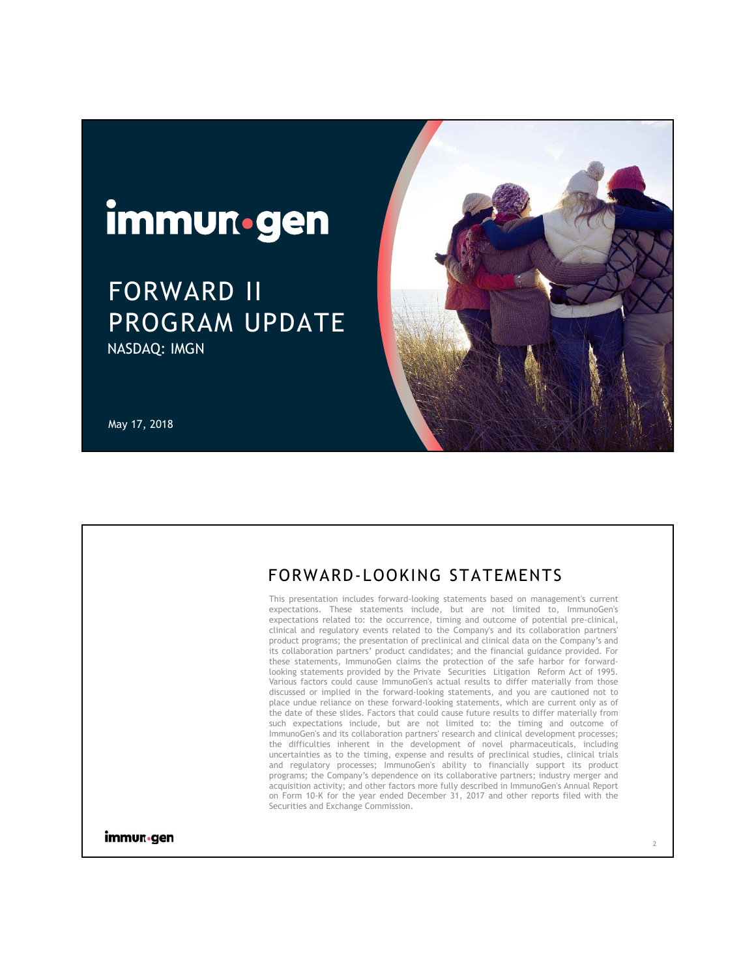# immun.gen

# FORWARD II PROGRAM UPDATE NASDAQ: IMGN





## FORWARD-LOOKING STATEMENTS

This presentation includes forward-looking statements based on management's current expectations. These statements include, but are not limited to, ImmunoGen's expectations related to: the occurrence, timing and outcome of potential pre-clinical, clinical and regulatory events related to the Company's and its collaboration partners' product programs; the presentation of preclinical and clinical data on the Company's and its collaboration partners' product candidates; and the financial guidance provided. For these statements, ImmunoGen claims the protection of the safe harbor for forwardlooking statements provided by the Private Securities Litigation Reform Act of 1995. Various factors could cause ImmunoGen's actual results to differ materially from those discussed or implied in the forward-looking statements, and you are cautioned not to place undue reliance on these forward-looking statements, which are current only as of the date of these slides. Factors that could cause future results to differ materially from such expectations include, but are not limited to: the timing and outcome of ImmunoGen's and its collaboration partners' research and clinical development processes; the difficulties inherent in the development of novel pharmaceuticals, including uncertainties as to the timing, expense and results of preclinical studies, clinical trials and regulatory processes; ImmunoGen's ability to financially support its product programs; the Company's dependence on its collaborative partners; industry merger and acquisition activity; and other factors more fully described in ImmunoGen's Annual Report on Form 10-K for the year ended December 31, 2017 and other reports filed with the Securities and Exchange Commission.

immun•gen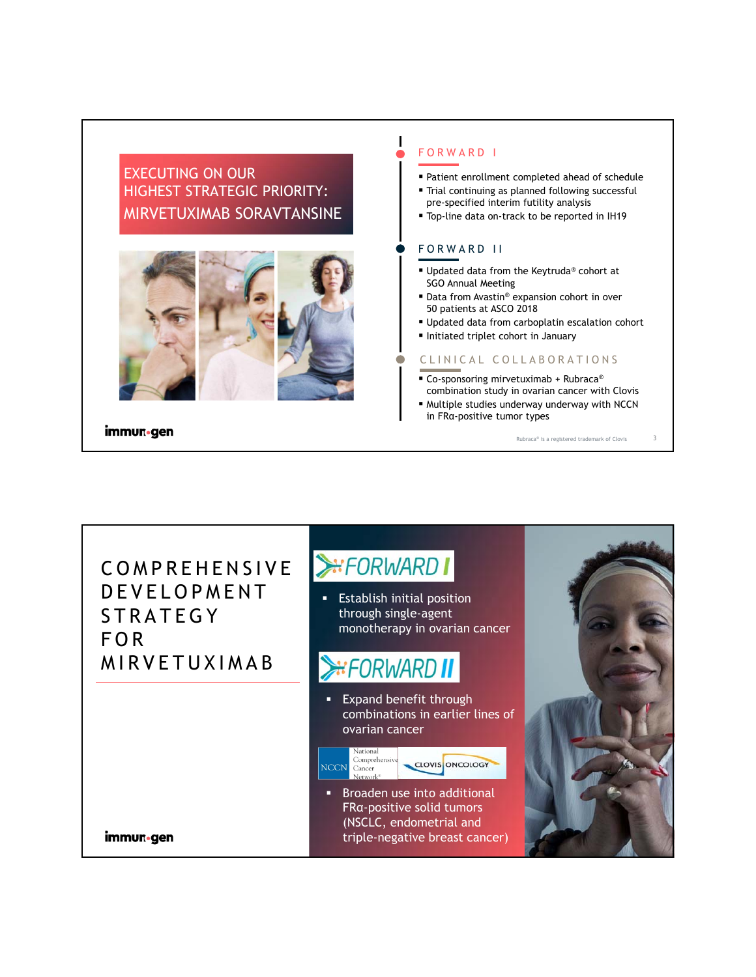### EXECUTING ON OUR HIGHEST STRATEGIC PRIORITY: MIRVETUXIMAB SORAVTANSINE



immun•gen

#### FORWARD I

 $\mathbf l$ 

- Patient enrollment completed ahead of schedule
- Trial continuing as planned following successful pre-specified interim futility analysis
- **Top-line data on-track to be reported in IH19**

#### FORWARD II

- Updated data from the Keytruda® cohort at SGO Annual Meeting
- Data from Avastin® expansion cohort in over 50 patients at ASCO 2018
- Updated data from carboplatin escalation cohort
- Initiated triplet cohort in January

#### CLINICAL COLLABORATIONS

- Co-sponsoring mirvetuximab + Rubraca<sup>®</sup> combination study in ovarian cancer with Clovis
- Multiple studies underway underway with NCCN in FRα-positive tumor types

Rubraca® is a registered trademark of Clovis 3

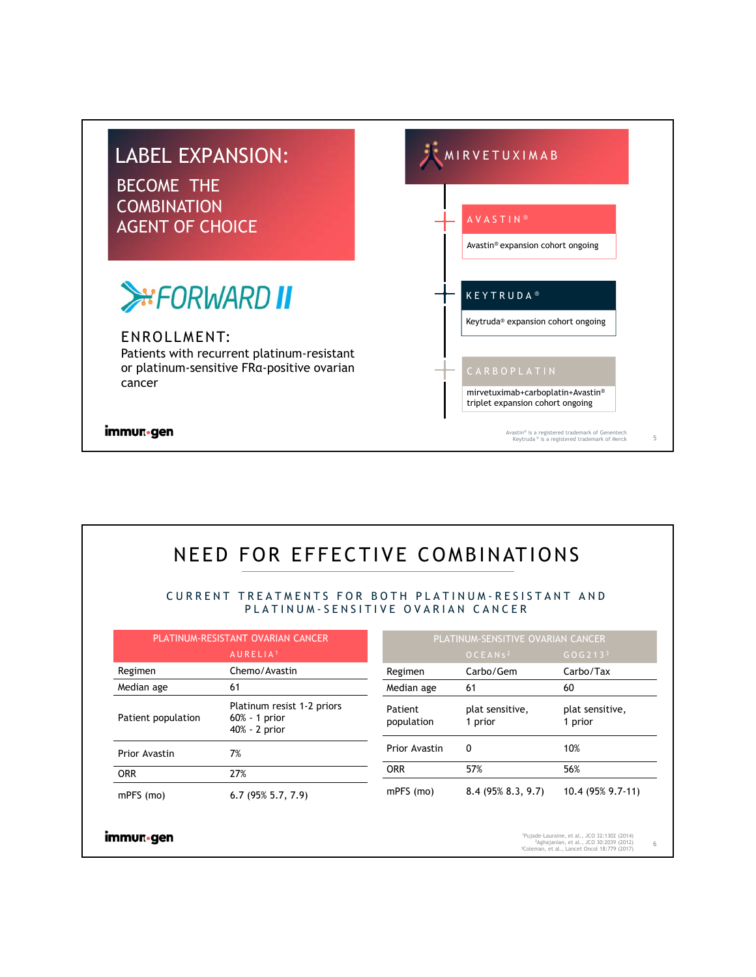

# NEED FOR EFFECTIVE COMBINATIONS

CURRENT TREATMENTS FOR BOTH PLATINUM-RESISTANT AND PLATINUM-SENSITIVE OVARIAN CANCER

| PLATINUM-RESISTANT OVARIAN CANCER |                                                                 |                       | PLATINUM-SENSITIVE OVARIAN CANCER |                                                                                                                                                                             |   |  |
|-----------------------------------|-----------------------------------------------------------------|-----------------------|-----------------------------------|-----------------------------------------------------------------------------------------------------------------------------------------------------------------------------|---|--|
|                                   | AURELIA <sup>1</sup>                                            |                       | OCEANS <sup>2</sup>               | GOG213 <sup>3</sup>                                                                                                                                                         |   |  |
| Regimen                           | Chemo/Avastin                                                   | Regimen               | Carbo/Gem                         | Carbo/Tax                                                                                                                                                                   |   |  |
| Median age                        | 61                                                              | Median age            | 61                                | 60                                                                                                                                                                          |   |  |
| Patient population                | Platinum resist 1-2 priors<br>$60\% - 1$ prior<br>40% - 2 prior | Patient<br>population | plat sensitive,<br>1 prior        | plat sensitive,<br>1 prior                                                                                                                                                  |   |  |
| Prior Avastin                     | 7%                                                              | Prior Avastin         | $\Omega$                          | 10%                                                                                                                                                                         |   |  |
| <b>ORR</b>                        | 27%                                                             | <b>ORR</b>            | 57%                               | 56%                                                                                                                                                                         |   |  |
| mPFS (mo)                         | $6.7(95\%5.7, 7.9)$                                             | mPFS (mo)             | $8.4(95\% 8.3, 9.7)$              | 10.4 (95% 9.7-11)                                                                                                                                                           |   |  |
| immur-gen                         |                                                                 |                       |                                   | <sup>1</sup> Pujade-Lauraine, et al., JCO 32:1302 (2014)<br><sup>2</sup> Aghajanian, et al., JCO 30:2039 (2012)<br><sup>3</sup> Coleman, et al., Lancet Oncol 18:779 (2017) | 6 |  |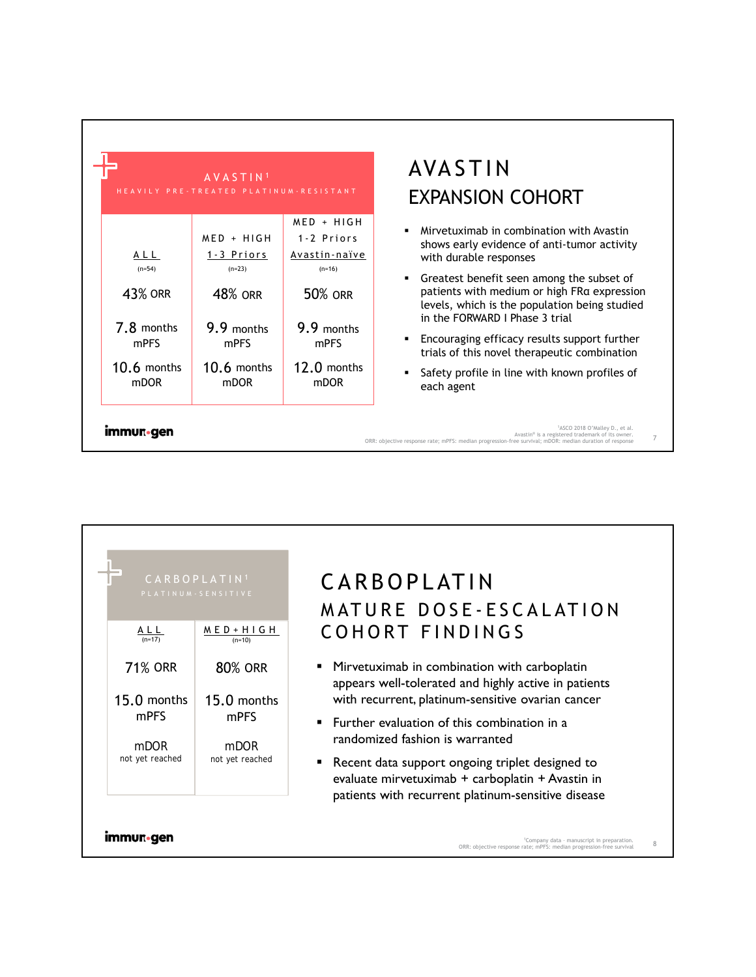|                | AVASTIN <sup>1</sup><br>HEAVILY PRE-TREATED PLATINUM-RESISTANT |                            | AV.<br><b>EXP</b> |
|----------------|----------------------------------------------------------------|----------------------------|-------------------|
|                | $MED + HIGH$                                                   | $MED + HIGH$<br>1-2 Priors |                   |
| ALL            | 1-3 Priors                                                     | Avastin-naïve              |                   |
| $(n=54)$       | $(n=23)$                                                       | $(n=16)$                   |                   |
| <b>43% ORR</b> | <b>48% ORR</b>                                                 | <b>50% ORR</b>             |                   |
| 7.8 months     | 9.9 months                                                     | 9.9 months                 |                   |
| mPFS           | mPFS                                                           | mPFS                       |                   |
| $10.6$ months  | $10.6$ months                                                  | 12.0 months                | ٠                 |
| <b>mDOR</b>    | <b>mDOR</b>                                                    | mDOR                       |                   |

# ASTIN **PANSION COHORT**

- vetuximab in combination with Avastin ws early evidence of anti-tumor activity h durable responses
- atest benefit seen among the subset of ients with medium or high FRα expression els, which is the population being studied he FORWARD I Phase 3 trial
- ouraging efficacy results support further Is of this novel therapeutic combination
- ety profile in line with known profiles of h agent

```
1ASCO 2018 O'Malley D., et al.
```
7

```
Avastin® is a registered trademark of its owner.
ORR: objective response rate; mPFS: median progression-free survival; mDOR: median duration of response
```
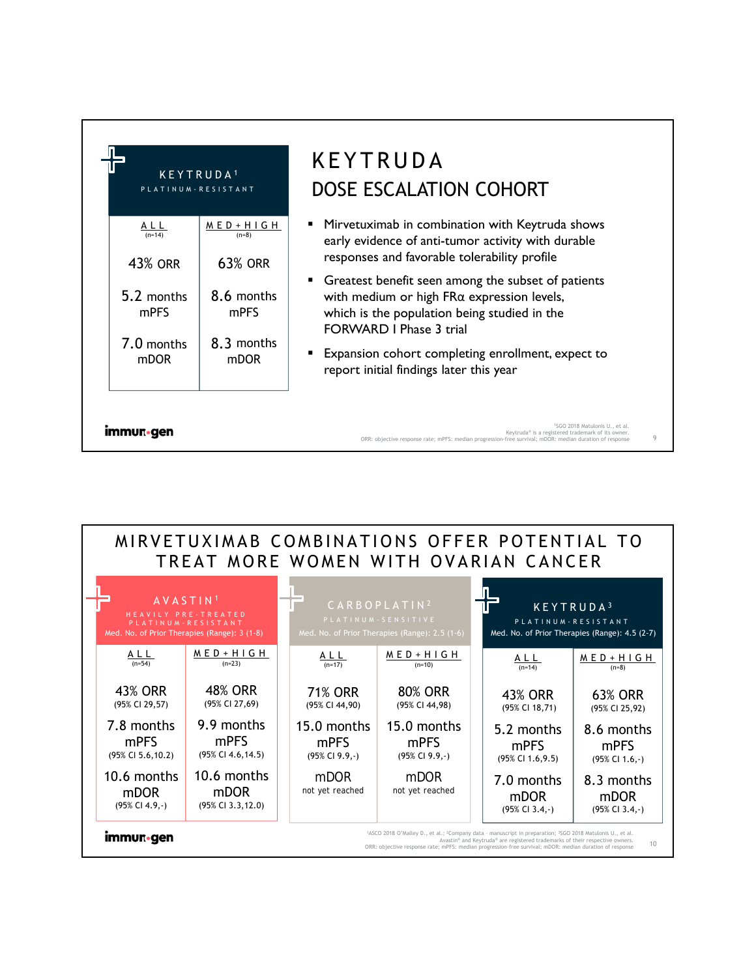| KEYTRUDA <sup>1</sup><br>PLATINUM - RESISTANT                                      |                                                                                       | <b>KEYTRUDA</b><br>DOSE ESCALATION COHORT                                                                                                                                                                                                                                                                                                                                                                                                                                                     |
|------------------------------------------------------------------------------------|---------------------------------------------------------------------------------------|-----------------------------------------------------------------------------------------------------------------------------------------------------------------------------------------------------------------------------------------------------------------------------------------------------------------------------------------------------------------------------------------------------------------------------------------------------------------------------------------------|
| ALL<br>$(n=14)$<br>43% ORR<br>5.2 months<br>mPFS<br>7.0 months<br>m <sub>DOR</sub> | $MED + HIGH$<br>$(n=8)$<br><b>63% ORR</b><br>8.6 months<br>mPFS<br>8.3 months<br>mDOR | Mirvetuximab in combination with Keytruda shows<br>٠<br>early evidence of anti-tumor activity with durable<br>responses and favorable tolerability profile<br>Greatest benefit seen among the subset of patients<br>$\mathbf{m}_{\mathrm{max}}$<br>with medium or high $FR\alpha$ expression levels,<br>which is the population being studied in the<br><b>FORWARD I Phase 3 trial</b><br><b>Expansion cohort completing enrollment, expect to</b><br>report initial findings later this year |
| <b>Immun</b> •gen                                                                  |                                                                                       | <sup>1</sup> SGO 2018 Matulonis U., et al.<br>Keytruda® is a registered trademark of its owner.<br>9<br>ORR: objective response rate; mPFS: median progression-free survival; mDOR: median duration of response                                                                                                                                                                                                                                                                               |